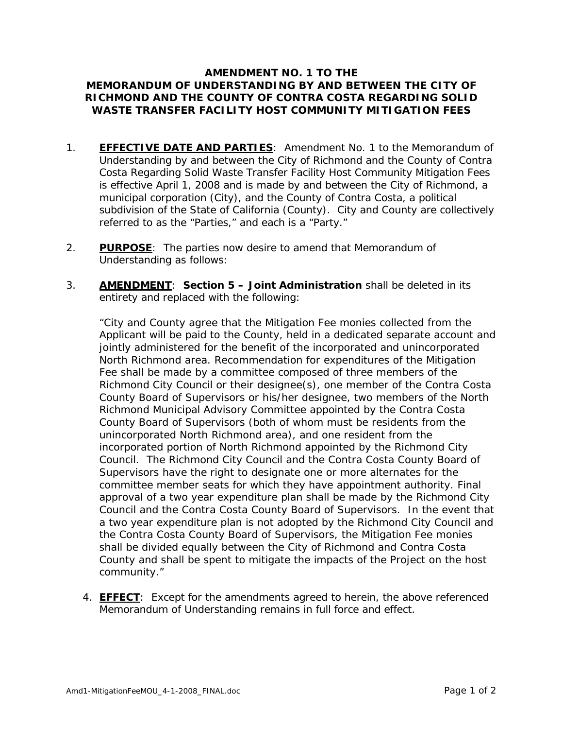## **AMENDMENT NO. 1 TO THE MEMORANDUM OF UNDERSTANDING BY AND BETWEEN THE CITY OF RICHMOND AND THE COUNTY OF CONTRA COSTA REGARDING SOLID WASTE TRANSFER FACILITY HOST COMMUNITY MITIGATION FEES**

- 1. **EFFECTIVE DATE AND PARTIES**: Amendment No. 1 to the Memorandum of Understanding by and between the City of Richmond and the County of Contra Costa Regarding Solid Waste Transfer Facility Host Community Mitigation Fees is effective April 1, 2008 and is made by and between the City of Richmond, a municipal corporation (City), and the County of Contra Costa, a political subdivision of the State of California (County). City and County are collectively referred to as the "Parties," and each is a "Party."
- 2. **PURPOSE**: The parties now desire to amend that Memorandum of Understanding as follows:
- 3. **AMENDMENT**: **Section 5 – Joint Administration** shall be deleted in its entirety and replaced with the following:

"City and County agree that the Mitigation Fee monies collected from the Applicant will be paid to the County, held in a dedicated separate account and jointly administered for the benefit of the incorporated and unincorporated North Richmond area. Recommendation for expenditures of the Mitigation Fee shall be made by a committee composed of three members of the Richmond City Council or their designee(s), one member of the Contra Costa County Board of Supervisors or his/her designee, two members of the North Richmond Municipal Advisory Committee appointed by the Contra Costa County Board of Supervisors (both of whom must be residents from the unincorporated North Richmond area), and one resident from the incorporated portion of North Richmond appointed by the Richmond City Council. The Richmond City Council and the Contra Costa County Board of Supervisors have the right to designate one or more alternates for the committee member seats for which they have appointment authority. Final approval of a two year expenditure plan shall be made by the Richmond City Council and the Contra Costa County Board of Supervisors. In the event that a two year expenditure plan is not adopted by the Richmond City Council and the Contra Costa County Board of Supervisors, the Mitigation Fee monies shall be divided equally between the City of Richmond and Contra Costa County and shall be spent to mitigate the impacts of the Project on the host community."

4. **EFFECT**: Except for the amendments agreed to herein, the above referenced Memorandum of Understanding remains in full force and effect.